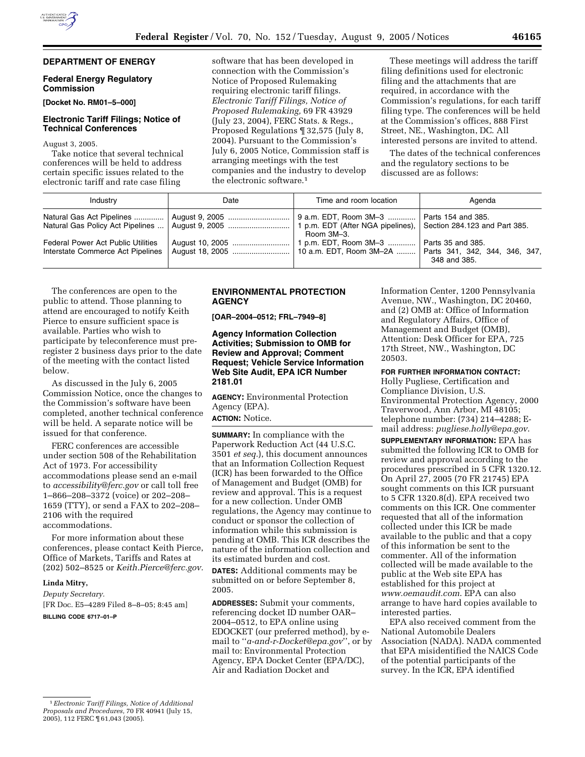## **DEPARTMENT OF ENERGY**

## **Federal Energy Regulatory Commission**

**[Docket No. RM01–5–000]** 

# **Electronic Tariff Filings; Notice of Technical Conferences**

#### August 3, 2005.

Take notice that several technical conferences will be held to address certain specific issues related to the electronic tariff and rate case filing

software that has been developed in connection with the Commission's Notice of Proposed Rulemaking requiring electronic tariff filings. *Electronic Tariff Filings, Notice of Proposed Rulemaking,* 69 FR 43929 (July 23, 2004), FERC Stats. & Regs., Proposed Regulations ¶ 32,575 (July 8, 2004). Pursuant to the Commission's July 6, 2005 Notice, Commission staff is arranging meetings with the test companies and the industry to develop the electronic software.1

These meetings will address the tariff filing definitions used for electronic filing and the attachments that are required, in accordance with the Commission's regulations, for each tariff filing type. The conferences will be held at the Commission's offices, 888 First Street, NE., Washington, DC. All interested persons are invited to attend.

The dates of the technical conferences and the regulatory sections to be discussed are as follows:

| Industry                                                                | Date            | Time and room location                                                                                    | Agenda                            |
|-------------------------------------------------------------------------|-----------------|-----------------------------------------------------------------------------------------------------------|-----------------------------------|
| Natural Gas Act Pipelines                                               |                 | 9 a.m. EDT, Room 3M-3   <br>1 p.m. EDT (After NGA pipelines), Section 284.123 and Part 385.<br>Room 3M-3. | Parts 154 and 385.                |
| Federal Power Act Public Utilities<br>Interstate Commerce Act Pipelines | August 18, 2005 | 1 p.m. EDT, Room 3M-3<br>10 a.m. EDT, Room 3M-2A    Parts 341, 342, 344, 346, 347,                        | Parts 35 and 385.<br>348 and 385. |

The conferences are open to the public to attend. Those planning to attend are encouraged to notify Keith Pierce to ensure sufficient space is available. Parties who wish to participate by teleconference must preregister 2 business days prior to the date of the meeting with the contact listed below.

As discussed in the July 6, 2005 Commission Notice, once the changes to the Commission's software have been completed, another technical conference will be held. A separate notice will be issued for that conference.

FERC conferences are accessible under section 508 of the Rehabilitation Act of 1973. For accessibility accommodations please send an e-mail to *accessibility@ferc.gov* or call toll free 1–866–208–3372 (voice) or 202–208– 1659 (TTY), or send a FAX to 202–208– 2106 with the required accommodations.

For more information about these conferences, please contact Keith Pierce, Office of Markets, Tariffs and Rates at (202) 502–8525 or *Keith.Pierce@ferc.gov.*

### **Linda Mitry,**

*Deputy Secretary.* [FR Doc. E5–4289 Filed 8–8–05; 8:45 am] **BILLING CODE 6717–01–P**

## **ENVIRONMENTAL PROTECTION AGENCY**

**[OAR–2004–0512; FRL–7949–8]** 

**Agency Information Collection Activities; Submission to OMB for Review and Approval; Comment Request; Vehicle Service Information Web Site Audit, EPA ICR Number 2181.01**

**AGENCY:** Environmental Protection Agency (EPA). **ACTION:** Notice.

**SUMMARY:** In compliance with the Paperwork Reduction Act (44 U.S.C. 3501 *et seq.*), this document announces that an Information Collection Request (ICR) has been forwarded to the Office of Management and Budget (OMB) for review and approval. This is a request for a new collection. Under OMB regulations, the Agency may continue to conduct or sponsor the collection of information while this submission is pending at OMB. This ICR describes the nature of the information collection and its estimated burden and cost.

**DATES:** Additional comments may be submitted on or before September 8, 2005.

**ADDRESSES:** Submit your comments, referencing docket ID number OAR– 2004–0512, to EPA online using EDOCKET (our preferred method), by email to ''*a-and-r-Docket@epa.gov*'', or by mail to: Environmental Protection Agency, EPA Docket Center (EPA/DC), Air and Radiation Docket and

Information Center, 1200 Pennsylvania Avenue, NW., Washington, DC 20460, and (2) OMB at: Office of Information and Regulatory Affairs, Office of Management and Budget (OMB), Attention: Desk Officer for EPA, 725 17th Street, NW., Washington, DC 20503.

## **FOR FURTHER INFORMATION CONTACT:**

Holly Pugliese, Certification and Compliance Division, U.S. Environmental Protection Agency, 2000 Traverwood, Ann Arbor, MI 48105; telephone number: (734) 214–4288; Email address: *pugliese.holly@epa.gov*.

**SUPPLEMENTARY INFORMATION:** EPA has submitted the following ICR to OMB for review and approval according to the procedures prescribed in 5 CFR 1320.12. On April 27, 2005 (70 FR 21745) EPA sought comments on this ICR pursuant to 5 CFR 1320.8(d). EPA received two comments on this ICR. One commenter requested that all of the information collected under this ICR be made available to the public and that a copy of this information be sent to the commenter. All of the information collected will be made available to the public at the Web site EPA has established for this project at *www.oemaudit.com*. EPA can also arrange to have hard copies available to interested parties.

EPA also received comment from the National Automobile Dealers Association (NADA). NADA commented that EPA misidentified the NAICS Code of the potential participants of the survey. In the ICR, EPA identified

<sup>1</sup>*Electronic Tariff Filings, Notice of Additional Proposals and Procedures,* 70 FR 40941 (July 15, 2005), 112 FERC ¶ 61,043 (2005).